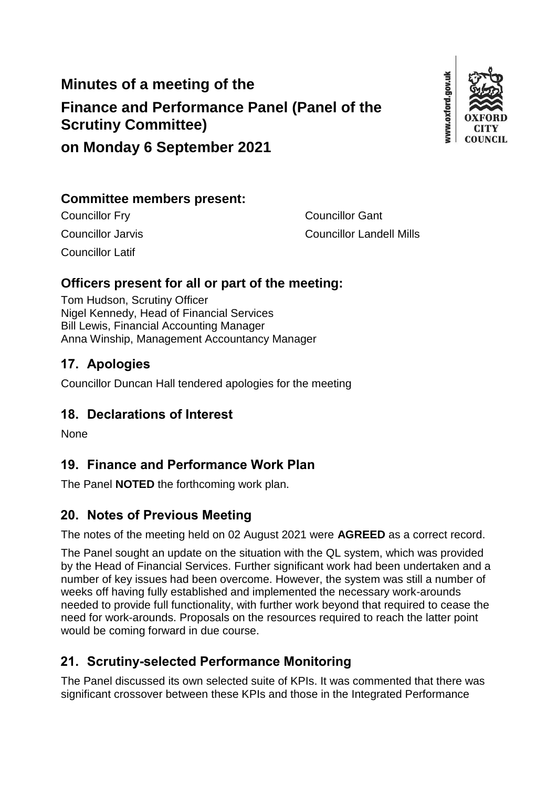# **Minutes of a meeting of the Finance and Performance Panel (Panel of the Scrutiny Committee)**



# **on Monday 6 September 2021**

#### **Committee members present:**

Councillor Latif

**Councillor Fry Councillor Gant** Councillor Jarvis Councillor Landell Mills

# **Officers present for all or part of the meeting:**

Tom Hudson, Scrutiny Officer Nigel Kennedy, Head of Financial Services Bill Lewis, Financial Accounting Manager Anna Winship, Management Accountancy Manager

# **17. Apologies**

Councillor Duncan Hall tendered apologies for the meeting

# **18. Declarations of Interest**

None

# **19. Finance and Performance Work Plan**

The Panel **NOTED** the forthcoming work plan.

#### **20. Notes of Previous Meeting**

The notes of the meeting held on 02 August 2021 were **AGREED** as a correct record.

The Panel sought an update on the situation with the QL system, which was provided by the Head of Financial Services. Further significant work had been undertaken and a number of key issues had been overcome. However, the system was still a number of weeks off having fully established and implemented the necessary work-arounds needed to provide full functionality, with further work beyond that required to cease the need for work-arounds. Proposals on the resources required to reach the latter point would be coming forward in due course.

# **21. Scrutiny-selected Performance Monitoring**

The Panel discussed its own selected suite of KPIs. It was commented that there was significant crossover between these KPIs and those in the Integrated Performance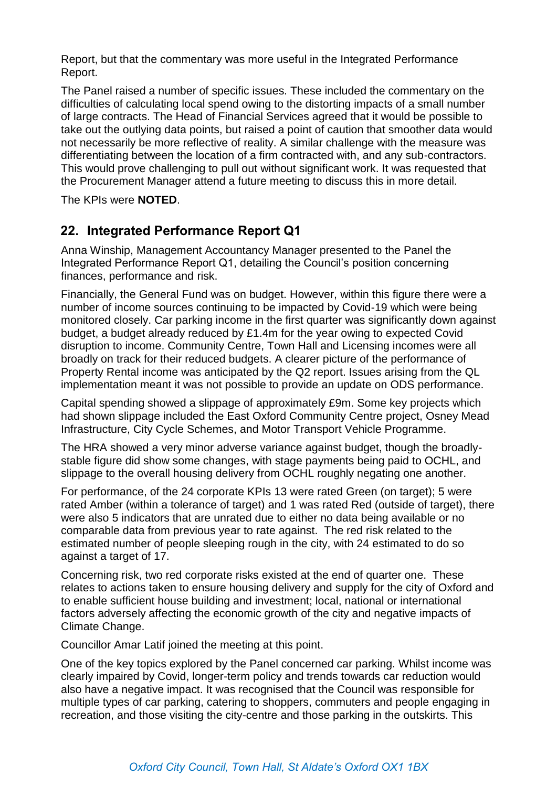Report, but that the commentary was more useful in the Integrated Performance Report.

The Panel raised a number of specific issues. These included the commentary on the difficulties of calculating local spend owing to the distorting impacts of a small number of large contracts. The Head of Financial Services agreed that it would be possible to take out the outlying data points, but raised a point of caution that smoother data would not necessarily be more reflective of reality. A similar challenge with the measure was differentiating between the location of a firm contracted with, and any sub-contractors. This would prove challenging to pull out without significant work. It was requested that the Procurement Manager attend a future meeting to discuss this in more detail.

The KPIs were **NOTED**.

#### **22. Integrated Performance Report Q1**

Anna Winship, Management Accountancy Manager presented to the Panel the Integrated Performance Report Q1, detailing the Council's position concerning finances, performance and risk.

Financially, the General Fund was on budget. However, within this figure there were a number of income sources continuing to be impacted by Covid-19 which were being monitored closely. Car parking income in the first quarter was significantly down against budget, a budget already reduced by £1.4m for the year owing to expected Covid disruption to income. Community Centre, Town Hall and Licensing incomes were all broadly on track for their reduced budgets. A clearer picture of the performance of Property Rental income was anticipated by the Q2 report. Issues arising from the QL implementation meant it was not possible to provide an update on ODS performance.

Capital spending showed a slippage of approximately £9m. Some key projects which had shown slippage included the East Oxford Community Centre project, Osney Mead Infrastructure, City Cycle Schemes, and Motor Transport Vehicle Programme.

The HRA showed a very minor adverse variance against budget, though the broadlystable figure did show some changes, with stage payments being paid to OCHL, and slippage to the overall housing delivery from OCHL roughly negating one another.

For performance, of the 24 corporate KPIs 13 were rated Green (on target); 5 were rated Amber (within a tolerance of target) and 1 was rated Red (outside of target), there were also 5 indicators that are unrated due to either no data being available or no comparable data from previous year to rate against. The red risk related to the estimated number of people sleeping rough in the city, with 24 estimated to do so against a target of 17.

Concerning risk, two red corporate risks existed at the end of quarter one. These relates to actions taken to ensure housing delivery and supply for the city of Oxford and to enable sufficient house building and investment; local, national or international factors adversely affecting the economic growth of the city and negative impacts of Climate Change.

Councillor Amar Latif joined the meeting at this point.

One of the key topics explored by the Panel concerned car parking. Whilst income was clearly impaired by Covid, longer-term policy and trends towards car reduction would also have a negative impact. It was recognised that the Council was responsible for multiple types of car parking, catering to shoppers, commuters and people engaging in recreation, and those visiting the city-centre and those parking in the outskirts. This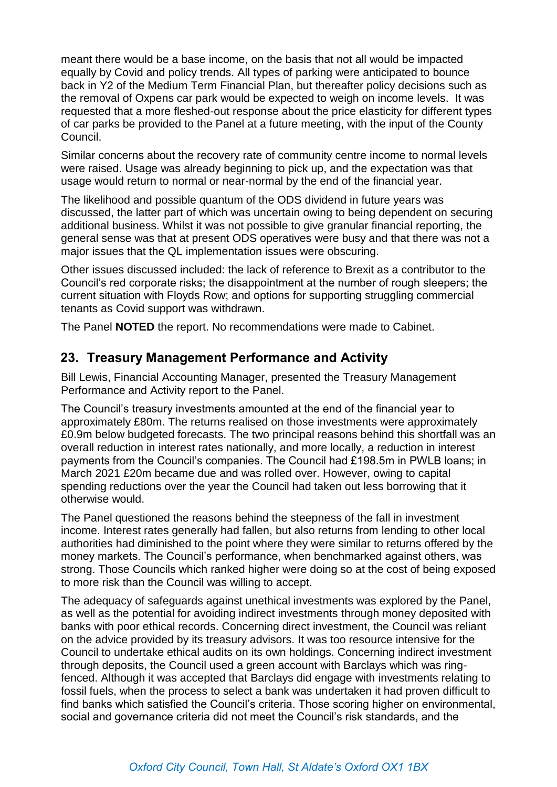meant there would be a base income, on the basis that not all would be impacted equally by Covid and policy trends. All types of parking were anticipated to bounce back in Y2 of the Medium Term Financial Plan, but thereafter policy decisions such as the removal of Oxpens car park would be expected to weigh on income levels. It was requested that a more fleshed-out response about the price elasticity for different types of car parks be provided to the Panel at a future meeting, with the input of the County Council.

Similar concerns about the recovery rate of community centre income to normal levels were raised. Usage was already beginning to pick up, and the expectation was that usage would return to normal or near-normal by the end of the financial year.

The likelihood and possible quantum of the ODS dividend in future years was discussed, the latter part of which was uncertain owing to being dependent on securing additional business. Whilst it was not possible to give granular financial reporting, the general sense was that at present ODS operatives were busy and that there was not a major issues that the QL implementation issues were obscuring.

Other issues discussed included: the lack of reference to Brexit as a contributor to the Council's red corporate risks; the disappointment at the number of rough sleepers; the current situation with Floyds Row; and options for supporting struggling commercial tenants as Covid support was withdrawn.

The Panel **NOTED** the report. No recommendations were made to Cabinet.

#### **23. Treasury Management Performance and Activity**

Bill Lewis, Financial Accounting Manager, presented the Treasury Management Performance and Activity report to the Panel.

The Council's treasury investments amounted at the end of the financial year to approximately £80m. The returns realised on those investments were approximately £0.9m below budgeted forecasts. The two principal reasons behind this shortfall was an overall reduction in interest rates nationally, and more locally, a reduction in interest payments from the Council's companies. The Council had £198.5m in PWLB loans; in March 2021 £20m became due and was rolled over. However, owing to capital spending reductions over the year the Council had taken out less borrowing that it otherwise would.

The Panel questioned the reasons behind the steepness of the fall in investment income. Interest rates generally had fallen, but also returns from lending to other local authorities had diminished to the point where they were similar to returns offered by the money markets. The Council's performance, when benchmarked against others, was strong. Those Councils which ranked higher were doing so at the cost of being exposed to more risk than the Council was willing to accept.

The adequacy of safeguards against unethical investments was explored by the Panel, as well as the potential for avoiding indirect investments through money deposited with banks with poor ethical records. Concerning direct investment, the Council was reliant on the advice provided by its treasury advisors. It was too resource intensive for the Council to undertake ethical audits on its own holdings. Concerning indirect investment through deposits, the Council used a green account with Barclays which was ringfenced. Although it was accepted that Barclays did engage with investments relating to fossil fuels, when the process to select a bank was undertaken it had proven difficult to find banks which satisfied the Council's criteria. Those scoring higher on environmental, social and governance criteria did not meet the Council's risk standards, and the